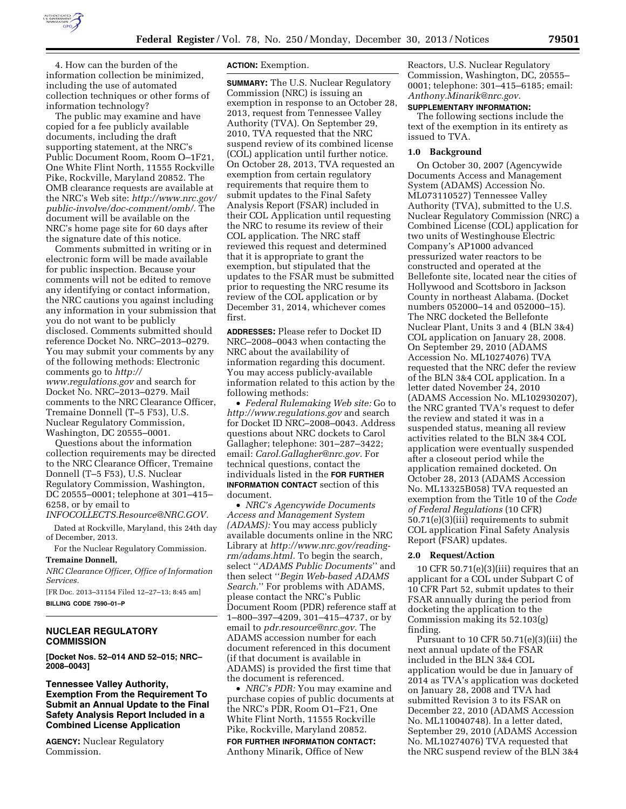

4. How can the burden of the information collection be minimized, including the use of automated collection techniques or other forms of information technology?

The public may examine and have copied for a fee publicly available documents, including the draft supporting statement, at the NRC's Public Document Room, Room O–1F21, One White Flint North, 11555 Rockville Pike, Rockville, Maryland 20852. The OMB clearance requests are available at the NRC's Web site: *[http://www.nrc.gov/](http://www.nrc.gov/public-involve/doc-comment/omb/) [public-involve/doc-comment/omb/.](http://www.nrc.gov/public-involve/doc-comment/omb/)* The document will be available on the NRC's home page site for 60 days after the signature date of this notice.

Comments submitted in writing or in electronic form will be made available for public inspection. Because your comments will not be edited to remove any identifying or contact information, the NRC cautions you against including any information in your submission that you do not want to be publicly disclosed. Comments submitted should reference Docket No. NRC–2013–0279. You may submit your comments by any of the following methods: Electronic comments go to *[http://](http://www.regulations.gov) [www.regulations.gov](http://www.regulations.gov)* and search for Docket No. NRC–2013–0279. Mail comments to the NRC Clearance Officer, Tremaine Donnell (T–5 F53), U.S. Nuclear Regulatory Commission, Washington, DC 20555–0001.

Questions about the information collection requirements may be directed to the NRC Clearance Officer, Tremaine Donnell (T–5 F53), U.S. Nuclear Regulatory Commission, Washington, DC 20555–0001; telephone at 301–415– 6258, or by email to

*[INFOCOLLECTS.Resource@NRC.GOV.](mailto:INFOCOLLECTS.Resource@NRC.GOV)* 

Dated at Rockville, Maryland, this 24th day of December, 2013.

For the Nuclear Regulatory Commission.

# **Tremaine Donnell,**

*NRC Clearance Officer, Office of Information Services.* 

[FR Doc. 2013–31154 Filed 12–27–13; 8:45 am] **BILLING CODE 7590–01–P** 

## **NUCLEAR REGULATORY COMMISSION**

**[Docket Nos. 52–014 AND 52–015; NRC– 2008–0043]** 

## **Tennessee Valley Authority, Exemption From the Requirement To Submit an Annual Update to the Final Safety Analysis Report Included in a Combined License Application**

**AGENCY:** Nuclear Regulatory Commission.

## **ACTION:** Exemption.

**SUMMARY:** The U.S. Nuclear Regulatory Commission (NRC) is issuing an exemption in response to an October 28, 2013, request from Tennessee Valley Authority (TVA). On September 29, 2010, TVA requested that the NRC suspend review of its combined license (COL) application until further notice. On October 28, 2013, TVA requested an exemption from certain regulatory requirements that require them to submit updates to the Final Safety Analysis Report (FSAR) included in their COL Application until requesting the NRC to resume its review of their COL application. The NRC staff reviewed this request and determined that it is appropriate to grant the exemption, but stipulated that the updates to the FSAR must be submitted prior to requesting the NRC resume its review of the COL application or by December 31, 2014, whichever comes first.

**ADDRESSES:** Please refer to Docket ID NRC–2008–0043 when contacting the NRC about the availability of information regarding this document. You may access publicly-available information related to this action by the following methods:

• *Federal Rulemaking Web site:* Go to *<http://www.regulations.gov>* and search for Docket ID NRC–2008–0043. Address questions about NRC dockets to Carol Gallagher; telephone: 301–287–3422; email: *[Carol.Gallagher@nrc.gov.](mailto:Carol.Gallagher@nrc.gov)* For technical questions, contact the individuals listed in the **FOR FURTHER INFORMATION CONTACT** section of this document.

• *NRC's Agencywide Documents Access and Management System (ADAMS):* You may access publicly available documents online in the NRC Library at *[http://www.nrc.gov/reading](http://www.nrc.gov/reading-rm/adams.html)[rm/adams.html.](http://www.nrc.gov/reading-rm/adams.html)* To begin the search, select ''*ADAMS Public Documents*'' and then select ''*Begin Web-based ADAMS Search.*'' For problems with ADAMS, please contact the NRC's Public Document Room (PDR) reference staff at 1–800–397–4209, 301–415–4737, or by email to *[pdr.resource@nrc.gov.](mailto:pdr.resource@nrc.gov)* The ADAMS accession number for each document referenced in this document (if that document is available in ADAMS) is provided the first time that the document is referenced.

• *NRC's PDR:* You may examine and purchase copies of public documents at the NRC's PDR, Room O1–F21, One White Flint North, 11555 Rockville Pike, Rockville, Maryland 20852.

**FOR FURTHER INFORMATION CONTACT:**  Anthony Minarik, Office of New

Reactors, U.S. Nuclear Regulatory Commission, Washington, DC, 20555– 0001; telephone: 301–415–6185; email: *[Anthony.Minarik@nrc.gov.](mailto:Anthony.Minarik@nrc.gov)* 

#### **SUPPLEMENTARY INFORMATION:**

The following sections include the text of the exemption in its entirety as issued to TVA.

#### **1.0 Background**

On October 30, 2007 (Agencywide Documents Access and Management System (ADAMS) Accession No. ML073110527) Tennessee Valley Authority (TVA), submitted to the U.S. Nuclear Regulatory Commission (NRC) a Combined License (COL) application for two units of Westinghouse Electric Company's AP1000 advanced pressurized water reactors to be constructed and operated at the Bellefonte site, located near the cities of Hollywood and Scottsboro in Jackson County in northeast Alabama. (Docket numbers 052000–14 and 052000–15). The NRC docketed the Bellefonte Nuclear Plant, Units 3 and 4 (BLN 3&4) COL application on January 28, 2008. On September 29, 2010 (ADAMS Accession No. ML10274076) TVA requested that the NRC defer the review of the BLN 3&4 COL application. In a letter dated November 24, 2010 (ADAMS Accession No. ML102930207), the NRC granted TVA's request to defer the review and stated it was in a suspended status, meaning all review activities related to the BLN 3&4 COL application were eventually suspended after a closeout period while the application remained docketed. On October 28, 2013 (ADAMS Accession No. ML13325B058) TVA requested an exemption from the Title 10 of the *Code of Federal Regulations* (10 CFR) 50.71(e)(3)(iii) requirements to submit COL application Final Safety Analysis Report (FSAR) updates.

### **2.0 Request/Action**

10 CFR 50.71(e)(3)(iii) requires that an applicant for a COL under Subpart C of 10 CFR Part 52, submit updates to their FSAR annually during the period from docketing the application to the Commission making its 52.103(g) finding.

Pursuant to 10 CFR 50.71(e)(3)(iii) the next annual update of the FSAR included in the BLN 3&4 COL application would be due in January of 2014 as TVA's application was docketed on January 28, 2008 and TVA had submitted Revision 3 to its FSAR on December 22, 2010 (ADAMS Accession No. ML110040748). In a letter dated, September 29, 2010 (ADAMS Accession No. ML10274076) TVA requested that the NRC suspend review of the BLN 3&4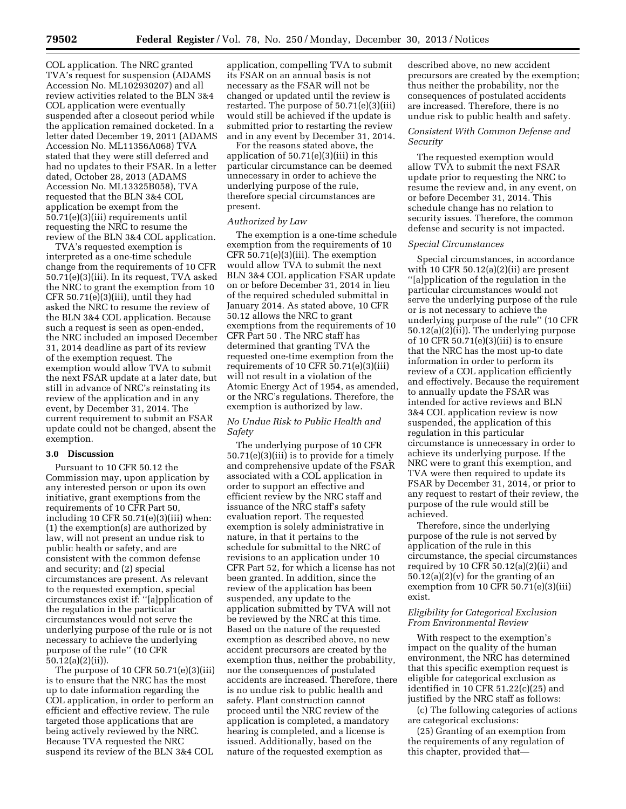COL application. The NRC granted TVA's request for suspension (ADAMS Accession No. ML102930207) and all review activities related to the BLN 3&4 COL application were eventually suspended after a closeout period while the application remained docketed. In a letter dated December 19, 2011 (ADAMS Accession No. ML11356A068) TVA stated that they were still deferred and had no updates to their FSAR. In a letter dated, October 28, 2013 (ADAMS Accession No. ML13325B058), TVA requested that the BLN 3&4 COL application be exempt from the 50.71(e)(3)(iii) requirements until requesting the NRC to resume the review of the BLN 3&4 COL application.

TVA's requested exemption is interpreted as a one-time schedule change from the requirements of 10 CFR 50.71(e)(3)(iii). In its request, TVA asked the NRC to grant the exemption from 10 CFR 50.71(e)(3)(iii), until they had asked the NRC to resume the review of the BLN 3&4 COL application. Because such a request is seen as open-ended, the NRC included an imposed December 31, 2014 deadline as part of its review of the exemption request. The exemption would allow TVA to submit the next FSAR update at a later date, but still in advance of NRC's reinstating its review of the application and in any event, by December 31, 2014. The current requirement to submit an FSAR update could not be changed, absent the exemption.

#### **3.0 Discussion**

Pursuant to 10 CFR 50.12 the Commission may, upon application by any interested person or upon its own initiative, grant exemptions from the requirements of 10 CFR Part 50, including 10 CFR  $50.71(e)(3)(iii)$  when: (1) the exemption(s) are authorized by law, will not present an undue risk to public health or safety, and are consistent with the common defense and security; and (2) special circumstances are present. As relevant to the requested exemption, special circumstances exist if: ''[a]pplication of the regulation in the particular circumstances would not serve the underlying purpose of the rule or is not necessary to achieve the underlying purpose of the rule'' (10 CFR 50.12(a)(2)(ii)).

The purpose of 10 CFR 50.71(e)(3)(iii) is to ensure that the NRC has the most up to date information regarding the COL application, in order to perform an efficient and effective review. The rule targeted those applications that are being actively reviewed by the NRC. Because TVA requested the NRC suspend its review of the BLN 3&4 COL

application, compelling TVA to submit its FSAR on an annual basis is not necessary as the FSAR will not be changed or updated until the review is restarted. The purpose of 50.71(e)(3)(iii) would still be achieved if the update is submitted prior to restarting the review and in any event by December 31, 2014.

For the reasons stated above, the application of 50.71(e)(3)(iii) in this particular circumstance can be deemed unnecessary in order to achieve the underlying purpose of the rule, therefore special circumstances are present.

### *Authorized by Law*

The exemption is a one-time schedule exemption from the requirements of 10 CFR 50.71(e)(3)(iii). The exemption would allow TVA to submit the next BLN 3&4 COL application FSAR update on or before December 31, 2014 in lieu of the required scheduled submittal in January 2014. As stated above, 10 CFR 50.12 allows the NRC to grant exemptions from the requirements of 10 CFR Part 50 . The NRC staff has determined that granting TVA the requested one-time exemption from the requirements of 10 CFR 50.71(e)(3)(iii) will not result in a violation of the Atomic Energy Act of 1954, as amended, or the NRC's regulations. Therefore, the exemption is authorized by law.

## *No Undue Risk to Public Health and Safety*

The underlying purpose of 10 CFR 50.71(e)(3)(iii) is to provide for a timely and comprehensive update of the FSAR associated with a COL application in order to support an effective and efficient review by the NRC staff and issuance of the NRC staff's safety evaluation report. The requested exemption is solely administrative in nature, in that it pertains to the schedule for submittal to the NRC of revisions to an application under 10 CFR Part 52, for which a license has not been granted. In addition, since the review of the application has been suspended, any update to the application submitted by TVA will not be reviewed by the NRC at this time. Based on the nature of the requested exemption as described above, no new accident precursors are created by the exemption thus, neither the probability, nor the consequences of postulated accidents are increased. Therefore, there is no undue risk to public health and safety. Plant construction cannot proceed until the NRC review of the application is completed, a mandatory hearing is completed, and a license is issued. Additionally, based on the nature of the requested exemption as

described above, no new accident precursors are created by the exemption; thus neither the probability, nor the consequences of postulated accidents are increased. Therefore, there is no undue risk to public health and safety.

### *Consistent With Common Defense and Security*

The requested exemption would allow TVA to submit the next FSAR update prior to requesting the NRC to resume the review and, in any event, on or before December 31, 2014. This schedule change has no relation to security issues. Therefore, the common defense and security is not impacted.

#### *Special Circumstances*

Special circumstances, in accordance with 10 CFR 50.12(a)(2)(ii) are present ''[a]pplication of the regulation in the particular circumstances would not serve the underlying purpose of the rule or is not necessary to achieve the underlying purpose of the rule'' (10 CFR 50.12(a)(2)(ii)). The underlying purpose of 10 CFR 50.71 $(e)(3)(iii)$  is to ensure that the NRC has the most up-to date information in order to perform its review of a COL application efficiently and effectively. Because the requirement to annually update the FSAR was intended for active reviews and BLN 3&4 COL application review is now suspended, the application of this regulation in this particular circumstance is unnecessary in order to achieve its underlying purpose. If the NRC were to grant this exemption, and TVA were then required to update its FSAR by December 31, 2014, or prior to any request to restart of their review, the purpose of the rule would still be achieved.

Therefore, since the underlying purpose of the rule is not served by application of the rule in this circumstance, the special circumstances required by 10 CFR  $50.12(a)(2)(ii)$  and  $50.12(a)(2)(v)$  for the granting of an exemption from 10 CFR 50.71(e)(3)(iii) exist.

### *Eligibility for Categorical Exclusion From Environmental Review*

With respect to the exemption's impact on the quality of the human environment, the NRC has determined that this specific exemption request is eligible for categorical exclusion as identified in 10 CFR 51.22(c)(25) and justified by the NRC staff as follows:

(c) The following categories of actions are categorical exclusions:

(25) Granting of an exemption from the requirements of any regulation of this chapter, provided that—